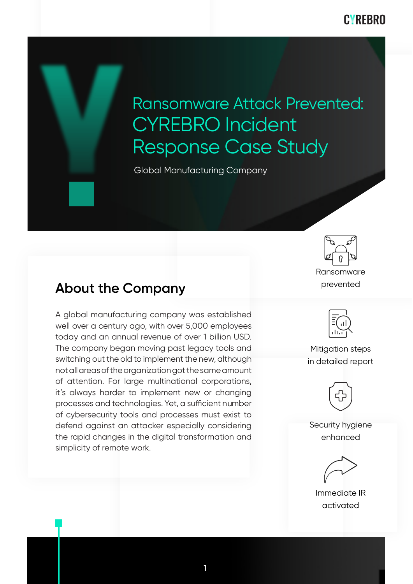**CYRFBRO** 

# Ransomware Attack Prevented: CYREBRO Incident Response Case Study

Global Manufacturing Company



### **About the Company**

A global manufacturing company was established well over a century ago, with over 5,000 employees today and an annual revenue of over 1 billion USD. The company began moving past legacy tools and switching out the old to implement the new, although not all areas of the organization got the same amount of attention. For large multinational corporations, it's always harder to implement new or changing processes and technologies. Yet, a sufficient number of cybersecurity tools and processes must exist to defend against an attacker especially considering the rapid changes in the digital transformation and simplicity of remote work.



Mitigation steps in detailed report



Security hygiene enhanced

Immediate IR activated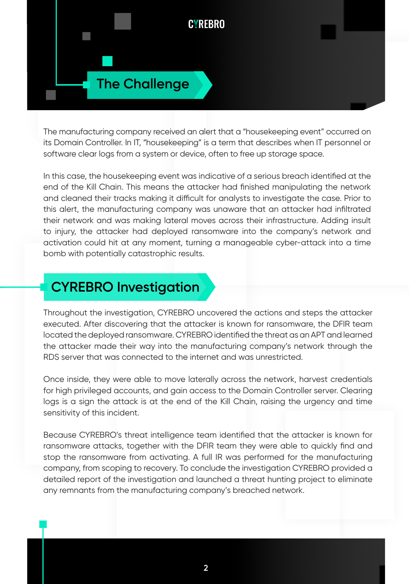

The manufacturing company received an alert that a "housekeeping event" occurred on its Domain Controller. In IT, "housekeeping" is a term that describes when IT personnel or software clear logs from a system or device, often to free up storage space.

In this case, the housekeeping event was indicative of a serious breach identified at the end of the Kill Chain. This means the attacker had finished manipulating the network and cleaned their tracks making it difficult for analysts to investigate the case. Prior to this alert, the manufacturing company was unaware that an attacker had infiltrated their network and was making lateral moves across their infrastructure. Adding insult to injury, the attacker had deployed ransomware into the company's network and activation could hit at any moment, turning a manageable cyber-attack into a time bomb with potentially catastrophic results.

## **CYREBRO Investigation**

Throughout the investigation, CYREBRO uncovered the actions and steps the attacker executed. After discovering that the attacker is known for ransomware, the DFIR team located the deployed ransomware. CYREBRO identified the threat as an APT and learned the attacker made their way into the manufacturing company's network through the RDS server that was connected to the internet and was unrestricted.

Once inside, they were able to move laterally across the network, harvest credentials for high privileged accounts, and gain access to the Domain Controller server. Clearing logs is a sign the attack is at the end of the Kill Chain, raising the urgency and time sensitivity of this incident.

Because CYREBRO's threat intelligence team identified that the attacker is known for ransomware attacks, together with the DFIR team they were able to quickly find and stop the ransomware from activating. A full IR was performed for the manufacturing company, from scoping to recovery. To conclude the investigation CYREBRO provided a detailed report of the investigation and launched a threat hunting project to eliminate any remnants from the manufacturing company's breached network.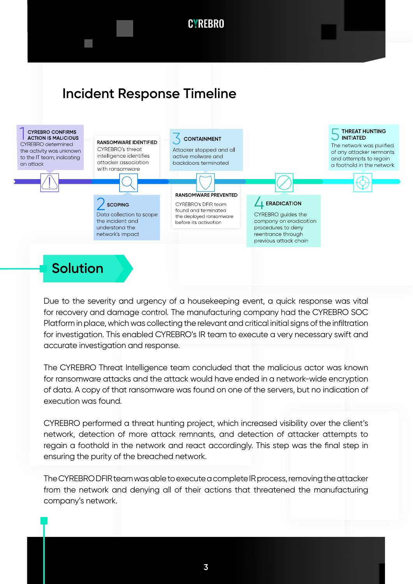# **Incident Response Timeline**



### **Solution**

Due to the severity and urgency of a housekeeping event, a quick response was vital for recovery and damage control. The manufacturing company had the CYREBRO SOC Platform in place, which was collecting the relevant and critical initial signs of the infiltration for investigation. This enabled CYREBRO's IR team to execute a very necessary swift and accurate investigation and response.

The CYREBRO Threat Intelligence team concluded that the malicious actor was known for ransomware attacks and the attack would have ended in a network-wide encryption of data. A copy of that ransomware was found on one of the servers, but no indication of execution was found.

CYREBRO performed a threat hunting project, which increased visibility over the client's network, detection of more attack remnants, and detection of attacker attempts to regain a foothold in the network and react accordingly. This step was the final step in ensuring the purity of the breached network.

The CYREBRO DFIR team was able to execute a complete IR process, removing the attacker from the network and denying all of their actions that threatened the manufacturing company's network.